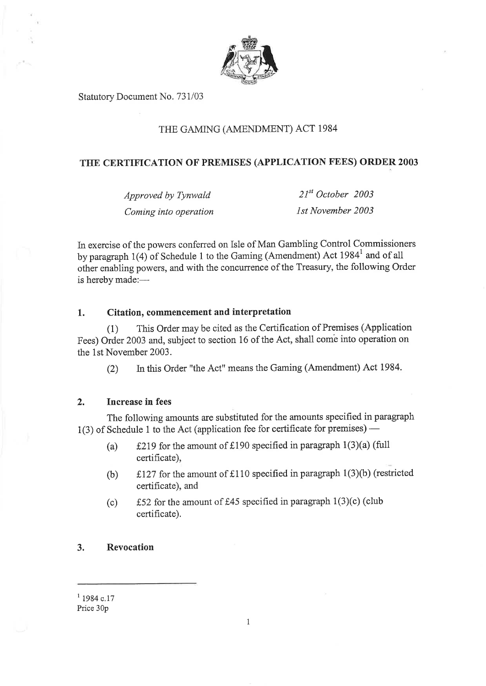

Statutory Document No. 731/03

## THE GAMING (AMENDMENT) ACT 1984

## **THE CERTIFICATION OF PREMISES (APPLICATION FEES) ORDER 2003**

*Approved by Tynwald 21st October 2003 Coming into operation 1st November 2003* 

In exercise of the powers conferred on Isle of Man Gambling Control Commissioners by paragraph 1(4) of Schedule 1 to the Gaming (Amendment) Act 1984<sup>1</sup> and of all other enabling powers, and with the concurrence of the Treasury, the following Order is hereby made:—

#### **1. Citation, commencement and interpretation**

(1) This Order may be cited as the Certification of Premises (Application Fees) Order 2003 and, subject to section 16 of the Act, shall come into operation on the 1st November 2003.

(2) In this Order "the Act" means the Gaming (Amendment) Act 1984.

### **2. Increase in fees**

The following amounts are substituted for the amounts specified in paragraph 1(3) of Schedule 1 to the Act (application fee for certificate for premises) —

- (a)  $\pm 219$  for the amount of £190 specified in paragraph 1(3)(a) (full certificate),
- (b) £127 for the amount of £110 specified in paragraph 1(3)(b) (restricted certificate), and
- (c)  $\angle$  £52 for the amount of £45 specified in paragraph 1(3)(c) (club certificate).

#### **3. Revocation**

 $11984$  c.17 Price 30p